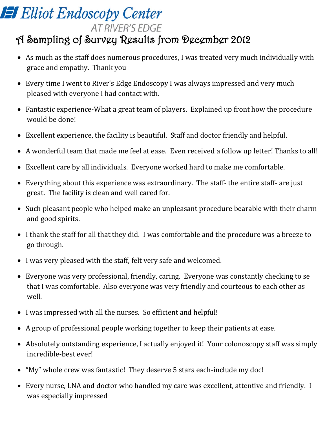### **El Elliot Endoscopy Center AT RIVER'S EDGE** A Sampling of Survey Results from December 2012

- As much as the staff does numerous procedures, I was treated very much individually with grace and empathy. Thank you
- Every time I went to River's Edge Endoscopy I was always impressed and very much pleased with everyone I had contact with.
- Fantastic experience-What a great team of players. Explained up front how the procedure would be done!
- Excellent experience, the facility is beautiful. Staff and doctor friendly and helpful.
- A wonderful team that made me feel at ease. Even received a follow up letter! Thanks to all!
- Excellent care by all individuals. Everyone worked hard to make me comfortable.
- Everything about this experience was extraordinary. The staff- the entire staff- are just great. The facility is clean and well cared for.
- Such pleasant people who helped make an unpleasant procedure bearable with their charm and good spirits.
- I thank the staff for all that they did. I was comfortable and the procedure was a breeze to go through.
- I was very pleased with the staff, felt very safe and welcomed.
- Everyone was very professional, friendly, caring. Everyone was constantly checking to se that I was comfortable. Also everyone was very friendly and courteous to each other as well.
- I was impressed with all the nurses. So efficient and helpful!
- A group of professional people working together to keep their patients at ease.
- Absolutely outstanding experience, I actually enjoyed it! Your colonoscopy staff was simply incredible-best ever!
- "My" whole crew was fantastic! They deserve 5 stars each-include my doc!
- Every nurse, LNA and doctor who handled my care was excellent, attentive and friendly. I was especially impressed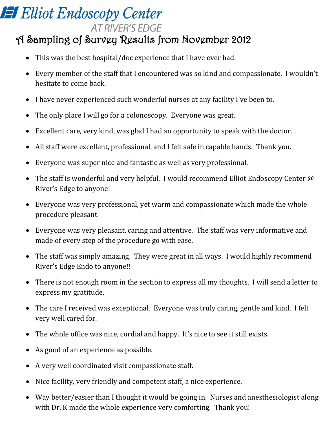### **El Elliot Endoscopy Center AT RIVER'S EDGE** A Sampling of Survey Results from November 2012

- This was the best hospital/doc experience that I have ever had.
- Every member of the staff that I encountered was so kind and compassionate. I wouldn't hesitate to come back.
- I have never experienced such wonderful nurses at any facility I've been to.
- The only place I will go for a colonoscopy. Everyone was great.
- Excellent care, very kind, was glad I had an opportunity to speak with the doctor.
- All staff were excellent, professional, and I felt safe in capable hands. Thank you.
- Everyone was super nice and fantastic as well as very professional.
- The staff is wonderful and very helpful. I would recommend Elliot Endoscopy Center @ River's Edge to anyone!
- Everyone was very professional, yet warm and compassionate which made the whole procedure pleasant.
- Everyone was very pleasant, caring and attentive. The staff was very informative and made of every step of the procedure go with ease.
- The staff was simply amazing. They were great in all ways. I would highly recommend River's Edge Endo to anyone!!
- There is not enough room in the section to express all my thoughts. I will send a letter to express my gratitude.
- The care I received was exceptional. Everyone was truly caring, gentle and kind. I felt very well cared for.
- The whole office was nice, cordial and happy. It's nice to see it still exists.
- As good of an experience as possible.
- A very well coordinated visit compassionate staff.
- Nice facility, very friendly and competent staff, a nice experience.
- Way better/easier than I thought it would be going in. Nurses and anesthesiologist along with Dr. K made the whole experience very comforting. Thank you!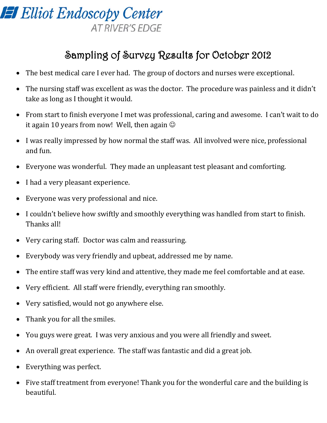#### Sampling of Survey Results for October 2012

- The best medical care I ever had. The group of doctors and nurses were exceptional.
- The nursing staff was excellent as was the doctor. The procedure was painless and it didn't take as long as I thought it would.
- From start to finish everyone I met was professional, caring and awesome. I can't wait to do it again 10 years from now! Well, then again  $\odot$
- I was really impressed by how normal the staff was. All involved were nice, professional and fun.
- Everyone was wonderful. They made an unpleasant test pleasant and comforting.
- I had a very pleasant experience.
- Everyone was very professional and nice.
- I couldn't believe how swiftly and smoothly everything was handled from start to finish. Thanks all!
- Very caring staff. Doctor was calm and reassuring.
- Everybody was very friendly and upbeat, addressed me by name.
- The entire staff was very kind and attentive, they made me feel comfortable and at ease.
- Very efficient. All staff were friendly, everything ran smoothly.
- Very satisfied, would not go anywhere else.
- Thank you for all the smiles.
- You guys were great. I was very anxious and you were all friendly and sweet.
- An overall great experience. The staff was fantastic and did a great job.
- Everything was perfect.
- Five staff treatment from everyone! Thank you for the wonderful care and the building is beautiful.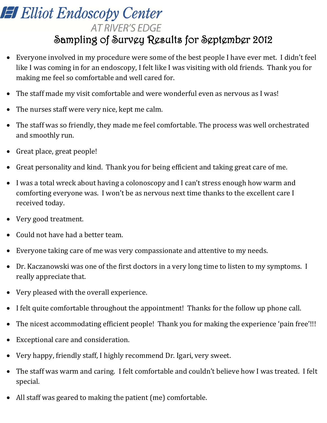### **El Elliot Endoscopy Center AT RIVER'S EDGE** Sampling of Survey Results for September 2012

- Everyone involved in my procedure were some of the best people I have ever met. I didn't feel like I was coming in for an endoscopy, I felt like I was visiting with old friends. Thank you for making me feel so comfortable and well cared for.
- The staff made my visit comfortable and were wonderful even as nervous as I was!
- The nurses staff were very nice, kept me calm.
- The staff was so friendly, they made me feel comfortable. The process was well orchestrated and smoothly run.
- Great place, great people!
- Great personality and kind. Thank you for being efficient and taking great care of me.
- I was a total wreck about having a colonoscopy and I can't stress enough how warm and comforting everyone was. I won't be as nervous next time thanks to the excellent care I received today.
- Very good treatment.
- Could not have had a better team.
- Everyone taking care of me was very compassionate and attentive to my needs.
- Dr. Kaczanowski was one of the first doctors in a very long time to listen to my symptoms. I really appreciate that.
- Very pleased with the overall experience.
- I felt quite comfortable throughout the appointment! Thanks for the follow up phone call.
- The nicest accommodating efficient people! Thank you for making the experience 'pain free'!!!
- Exceptional care and consideration.
- Very happy, friendly staff, I highly recommend Dr. Igari, very sweet.
- The staff was warm and caring. I felt comfortable and couldn't believe how I was treated. I felt special.
- All staff was geared to making the patient (me) comfortable.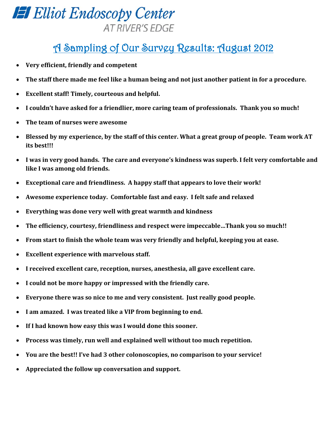#### A Sampling of Our Survey Results: August 2012

- **Very efficient, friendly and competent**
- **The staff there made me feel like a human being and not just another patient in for a procedure.**
- **Excellent staff! Timely, courteous and helpful.**
- **I couldn't have asked for a friendlier, more caring team of professionals. Thank you so much!**
- **The team of nurses were awesome**
- **Blessed by my experience, by the staff of this center. What a great group of people. Team work AT its best!!!**
- **I was in very good hands. The care and everyone's kindness was superb. I felt very comfortable and like I was among old friends.**
- **Exceptional care and friendliness. A happy staff that appears to love their work!**
- **Awesome experience today. Comfortable fast and easy. I felt safe and relaxed**
- **Everything was done very well with great warmth and kindness**
- **The efficiency, courtesy, friendliness and respect were impeccable…Thank you so much!!**
- **From start to finish the whole team was very friendly and helpful, keeping you at ease.**
- **Excellent experience with marvelous staff.**
- **I received excellent care, reception, nurses, anesthesia, all gave excellent care.**
- **I could not be more happy or impressed with the friendly care.**
- **Everyone there was so nice to me and very consistent. Just really good people.**
- **I am amazed. I was treated like a VIP from beginning to end.**
- **If I had known how easy this was I would done this sooner.**
- **Process was timely, run well and explained well without too much repetition.**
- **You are the best!! I've had 3 other colonoscopies, no comparison to your service!**
- **Appreciated the follow up conversation and support.**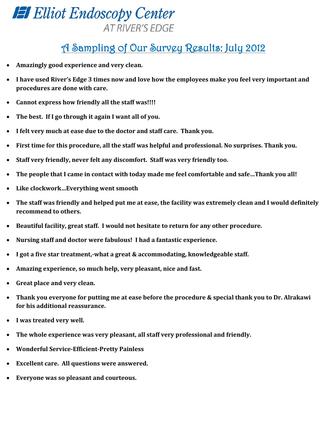#### A Sampling of Our Survey Results: July 2012

- **Amazingly good experience and very clean.**
- **I have used River's Edge 3 times now and love how the employees make you feel very important and procedures are done with care.**
- **Cannot express how friendly all the staff was!!!!**
- **The best. If I go through it again I want all of you.**
- **I felt very much at ease due to the doctor and staff care. Thank you.**
- **First time for this procedure, all the staff was helpful and professional. No surprises. Thank you.**
- **Staff very friendly, never felt any discomfort. Staff was very friendly too.**
- **The people that I came in contact with today made me feel comfortable and safe…Thank you all!**
- **Like clockwork…Everything went smooth**
- **The staff was friendly and helped put me at ease, the facility was extremely clean and I would definitely recommend to others.**
- **Beautiful facility, great staff. I would not hesitate to return for any other procedure.**
- **Nursing staff and doctor were fabulous! I had a fantastic experience.**
- **I got a five star treatment,-what a great & accommodating, knowledgeable staff.**
- **Amazing experience, so much help, very pleasant, nice and fast.**
- **Great place and very clean.**
- **Thank you everyone for putting me at ease before the procedure & special thank you to Dr. Alrakawi for his additional reassurance.**
- **I was treated very well.**
- **The whole experience was very pleasant, all staff very professional and friendly.**
- **Wonderful Service-Efficient-Pretty Painless**
- **Excellent care. All questions were answered.**
- **Everyone was so pleasant and courteous.**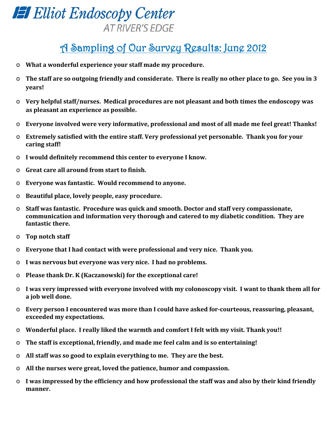#### A Sampling of Our Survey Results: June 2012

- o **What a wonderful experience your staff made my procedure.**
- o **The staff are so outgoing friendly and considerate. There is really no other place to go. See you in 3 years!**
- o **Very helpful staff/nurses. Medical procedures are not pleasant and both times the endoscopy was as pleasant an experience as possible.**
- o **Everyone involved were very informative, professional and most of all made me feel great! Thanks!**
- o **Extremely satisfied with the entire staff. Very professional yet personable. Thank you for your caring staff!**
- o **I would definitely recommend this center to everyone I know.**
- o **Great care all around from start to finish.**
- o **Everyone was fantastic. Would recommend to anyone.**
- o **Beautiful place, lovely people, easy procedure.**
- o **Staff was fantastic. Procedure was quick and smooth. Doctor and staff very compassionate, communication and information very thorough and catered to my diabetic condition. They are fantastic there.**
- o **Top notch staff**
- o **Everyone that I had contact with were professional and very nice. Thank you.**
- o **I was nervous but everyone was very nice. I had no problems.**
- o **Please thank Dr. K (Kaczanowski) for the exceptional care!**
- o **I was very impressed with everyone involved with my colonoscopy visit. I want to thank them all for a job well done.**
- o **Every person I encountered was more than I could have asked for-courteous, reassuring, pleasant, exceeded my expectations.**
- o **Wonderful place. I really liked the warmth and comfort I felt with my visit. Thank you!!**
- o **The staff is exceptional, friendly, and made me feel calm and is so entertaining!**
- o **All staff was so good to explain everything to me. They are the best.**
- o **All the nurses were great, loved the patience, humor and compassion.**
- o **I was impressed by the efficiency and how professional the staff was and also by their kind friendly manner.**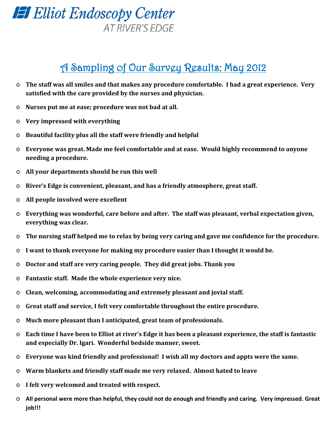#### A Sampling of Our Survey Results: May 2012

- o **The staff was all smiles and that makes any procedure comfortable. I had a great experience. Very satisfied with the care provided by the nurses and physician.**
- o **Nurses put me at ease; procedure was not bad at all.**
- o **Very impressed with everything**
- o **Beautiful facility plus all the staff were friendly and helpful**
- o **Everyone was great. Made me feel comfortable and at ease. Would highly recommend to anyone needing a procedure.**
- o **All your departments should be run this well**
- o **River's Edge is convenient, pleasant, and has a friendly atmosphere, great staff.**
- o **All people involved were excellent**
- o **Everything was wonderful, care before and after. The staff was pleasant, verbal expectation given, everything was clear.**
- o **The nursing staff helped me to relax by being very caring and gave me confidence for the procedure.**
- o **I want to thank everyone for making my procedure easier than I thought it would be.**
- o **Doctor and staff are very caring people. They did great jobs. Thank you**
- o **Fantastic staff. Made the whole experience very nice.**
- o **Clean, welcoming, accommodating and extremely pleasant and jovial staff.**
- o **Great staff and service, I felt very comfortable throughout the entire procedure.**
- o **Much more pleasant than I anticipated, great team of professionals.**
- o **Each time I have been to Elliot at river's Edge it has been a pleasant experience, the staff is fantastic and especially Dr. Igari. Wonderful bedside manner, sweet.**
- o **Everyone was kind friendly and professional! I wish all my doctors and appts were the same.**
- o **Warm blankets and friendly staff made me very relaxed. Almost hated to leave**
- o **I felt very welcomed and treated with respect.**
- o **All personal were more than helpful, they could not do enough and friendly and caring. Very impressed. Great job!!!**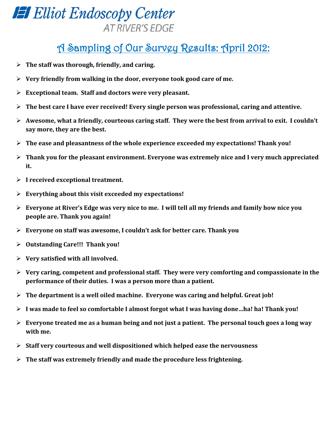#### A Sampling of Our Survey Results: April 2012:

- **The staff was thorough, friendly, and caring.**
- **Very friendly from walking in the door, everyone took good care of me.**
- **Exceptional team. Staff and doctors were very pleasant.**
- **The best care I have ever received! Every single person was professional, caring and attentive.**
- **Awesome, what a friendly, courteous caring staff. They were the best from arrival to exit. I couldn't say more, they are the best.**
- **The ease and pleasantness of the whole experience exceeded my expectations! Thank you!**
- **Thank you for the pleasant environment. Everyone was extremely nice and I very much appreciated it.**
- **I received exceptional treatment.**
- **Everything about this visit exceeded my expectations!**
- **Everyone at River's Edge was very nice to me. I will tell all my friends and family how nice you people are. Thank you again!**
- **Everyone on staff was awesome, I couldn't ask for better care. Thank you**
- **Outstanding Care!!! Thank you!**
- **Very satisfied with all involved.**
- **Very caring, competent and professional staff. They were very comforting and compassionate in the performance of their duties. I was a person more than a patient.**
- **The department is a well oiled machine. Everyone was caring and helpful. Great job!**
- **I was made to feel so comfortable I almost forgot what I was having done…ha! ha! Thank you!**
- **Everyone treated me as a human being and not just a patient. The personal touch goes a long way with me.**
- **Staff very courteous and well dispositioned which helped ease the nervousness**
- **The staff was extremely friendly and made the procedure less frightening.**